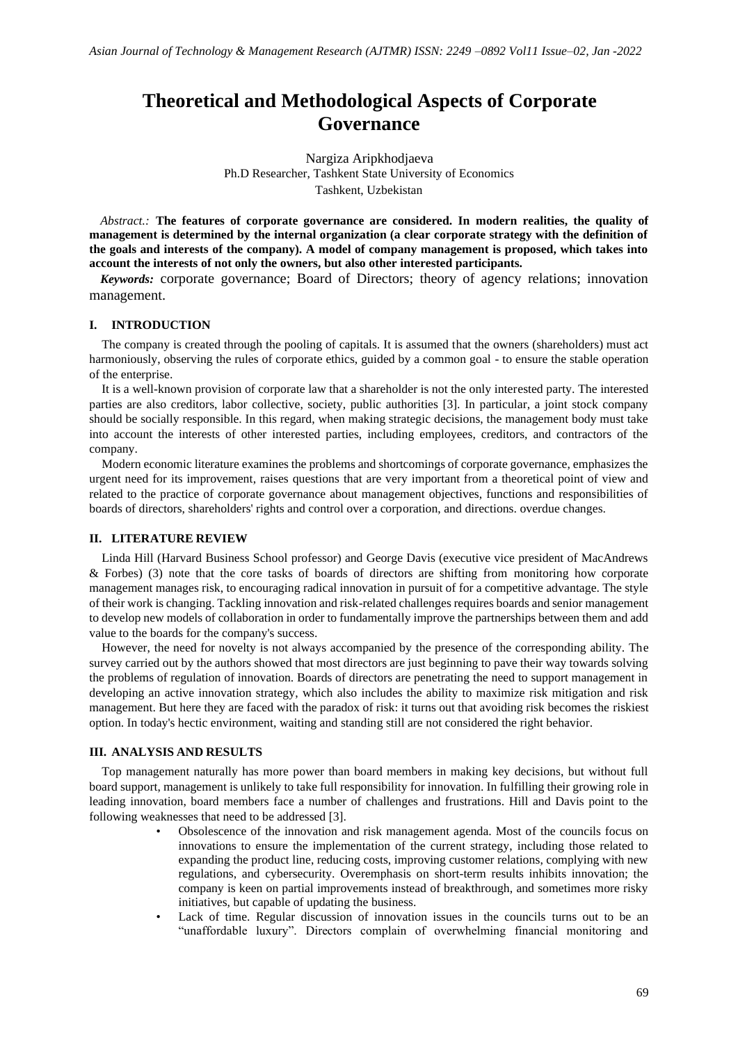# **Theoretical and Methodological Aspects of Corporate Governance**

Nargiza Aripkhodjaeva Ph.D Researcher, Tashkent State University of Economics Tashkent, Uzbekistan

*Abstract.:* **The features of corporate governance are considered. In modern realities, the quality of management is determined by the internal organization (a clear corporate strategy with the definition of the goals and interests of the company). A model of company management is proposed, which takes into account the interests of not only the owners, but also other interested participants.**

*Keywords:* corporate governance; Board of Directors; theory of agency relations; innovation management.

## **I. INTRODUCTION**

The company is created through the pooling of capitals. It is assumed that the owners (shareholders) must act harmoniously, observing the rules of corporate ethics, guided by a common goal - to ensure the stable operation of the enterprise.

It is a well-known provision of corporate law that a shareholder is not the only interested party. The interested parties are also creditors, labor collective, society, public authorities [3]. In particular, a joint stock company should be socially responsible. In this regard, when making strategic decisions, the management body must take into account the interests of other interested parties, including employees, creditors, and contractors of the company.

Modern economic literature examines the problems and shortcomings of corporate governance, emphasizes the urgent need for its improvement, raises questions that are very important from a theoretical point of view and related to the practice of corporate governance about management objectives, functions and responsibilities of boards of directors, shareholders' rights and control over a corporation, and directions. overdue changes.

### **II. LITERATURE REVIEW**

Linda Hill (Harvard Business School professor) and George Davis (executive vice president of MacAndrews & Forbes) (3) note that the core tasks of boards of directors are shifting from monitoring how corporate management manages risk, to encouraging radical innovation in pursuit of for a competitive advantage. The style of their work is changing. Tackling innovation and risk-related challenges requires boards and senior management to develop new models of collaboration in order to fundamentally improve the partnerships between them and add value to the boards for the company's success.

However, the need for novelty is not always accompanied by the presence of the corresponding ability. The survey carried out by the authors showed that most directors are just beginning to pave their way towards solving the problems of regulation of innovation. Boards of directors are penetrating the need to support management in developing an active innovation strategy, which also includes the ability to maximize risk mitigation and risk management. But here they are faced with the paradox of risk: it turns out that avoiding risk becomes the riskiest option. In today's hectic environment, waiting and standing still are not considered the right behavior.

## **III. ANALYSIS AND RESULTS**

Top management naturally has more power than board members in making key decisions, but without full board support, management is unlikely to take full responsibility for innovation. In fulfilling their growing role in leading innovation, board members face a number of challenges and frustrations. Hill and Davis point to the following weaknesses that need to be addressed [3].

- Obsolescence of the innovation and risk management agenda. Most of the councils focus on innovations to ensure the implementation of the current strategy, including those related to expanding the product line, reducing costs, improving customer relations, complying with new regulations, and cybersecurity. Overemphasis on short-term results inhibits innovation; the company is keen on partial improvements instead of breakthrough, and sometimes more risky initiatives, but capable of updating the business.
- Lack of time. Regular discussion of innovation issues in the councils turns out to be an "unaffordable luxury". Directors complain of overwhelming financial monitoring and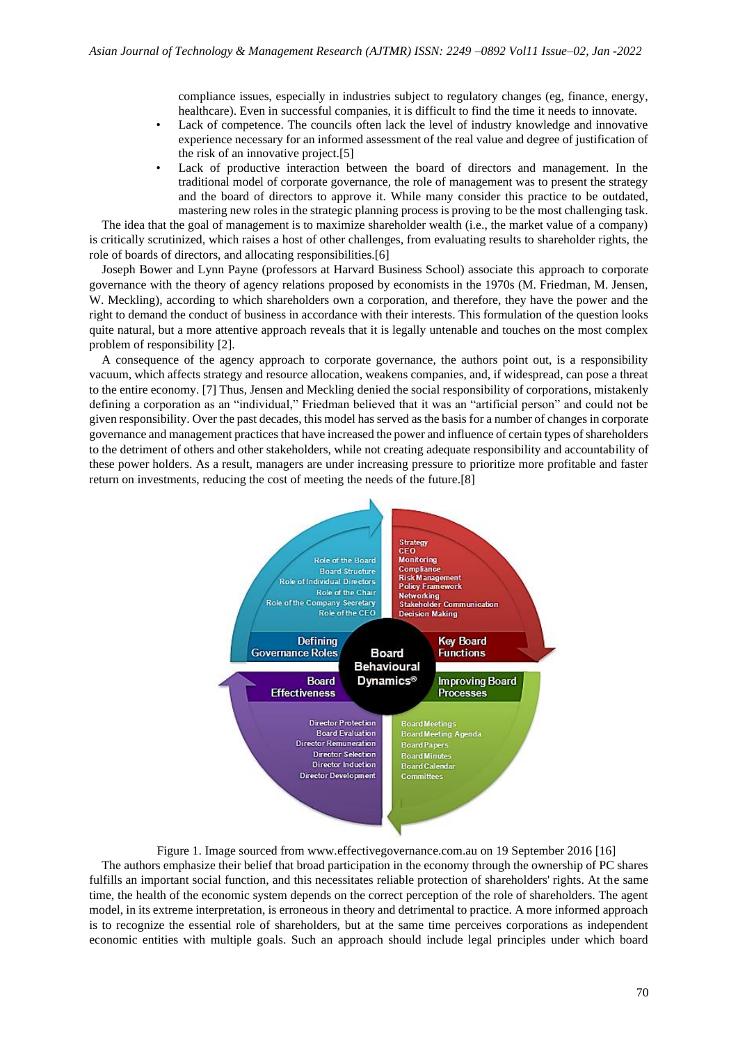compliance issues, especially in industries subject to regulatory changes (eg, finance, energy, healthcare). Even in successful companies, it is difficult to find the time it needs to innovate.

- Lack of competence. The councils often lack the level of industry knowledge and innovative experience necessary for an informed assessment of the real value and degree of justification of the risk of an innovative project.[5]
- Lack of productive interaction between the board of directors and management. In the traditional model of corporate governance, the role of management was to present the strategy and the board of directors to approve it. While many consider this practice to be outdated, mastering new roles in the strategic planning process is proving to be the most challenging task.

The idea that the goal of management is to maximize shareholder wealth (i.e., the market value of a company) is critically scrutinized, which raises a host of other challenges, from evaluating results to shareholder rights, the role of boards of directors, and allocating responsibilities.[6]

Joseph Bower and Lynn Payne (professors at Harvard Business School) associate this approach to corporate governance with the theory of agency relations proposed by economists in the 1970s (M. Friedman, M. Jensen, W. Meckling), according to which shareholders own a corporation, and therefore, they have the power and the right to demand the conduct of business in accordance with their interests. This formulation of the question looks quite natural, but a more attentive approach reveals that it is legally untenable and touches on the most complex problem of responsibility [2].

A consequence of the agency approach to corporate governance, the authors point out, is a responsibility vacuum, which affects strategy and resource allocation, weakens companies, and, if widespread, can pose a threat to the entire economy. [7] Thus, Jensen and Meckling denied the social responsibility of corporations, mistakenly defining a corporation as an "individual," Friedman believed that it was an "artificial person" and could not be given responsibility. Over the past decades, this model has served as the basis for a number of changes in corporate governance and management practices that have increased the power and influence of certain types of shareholders to the detriment of others and other stakeholders, while not creating adequate responsibility and accountability of these power holders. As a result, managers are under increasing pressure to prioritize more profitable and faster return on investments, reducing the cost of meeting the needs of the future.[8]



Figure 1. Image sourced from www.effectivegovernance.com.au on 19 September 2016 [16] The authors emphasize their belief that broad participation in the economy through the ownership of PC shares fulfills an important social function, and this necessitates reliable protection of shareholders' rights. At the same time, the health of the economic system depends on the correct perception of the role of shareholders. The agent model, in its extreme interpretation, is erroneous in theory and detrimental to practice. A more informed approach is to recognize the essential role of shareholders, but at the same time perceives corporations as independent economic entities with multiple goals. Such an approach should include legal principles under which board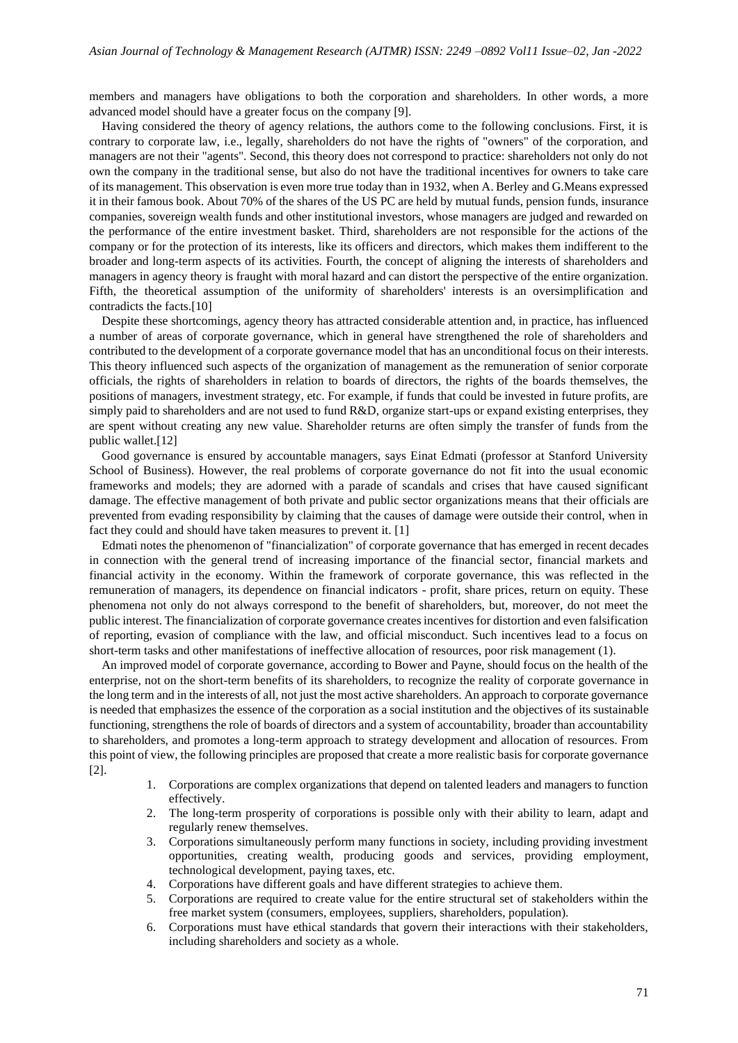members and managers have obligations to both the corporation and shareholders. In other words, a more advanced model should have a greater focus on the company [9].

Having considered the theory of agency relations, the authors come to the following conclusions. First, it is contrary to corporate law, i.e., legally, shareholders do not have the rights of "owners" of the corporation, and managers are not their "agents". Second, this theory does not correspond to practice: shareholders not only do not own the company in the traditional sense, but also do not have the traditional incentives for owners to take care of its management. This observation is even more true today than in 1932, when A. Berley and G.Means expressed it in their famous book. About 70% of the shares of the US PC are held by mutual funds, pension funds, insurance companies, sovereign wealth funds and other institutional investors, whose managers are judged and rewarded on the performance of the entire investment basket. Third, shareholders are not responsible for the actions of the company or for the protection of its interests, like its officers and directors, which makes them indifferent to the broader and long-term aspects of its activities. Fourth, the concept of aligning the interests of shareholders and managers in agency theory is fraught with moral hazard and can distort the perspective of the entire organization. Fifth, the theoretical assumption of the uniformity of shareholders' interests is an oversimplification and contradicts the facts.[10]

Despite these shortcomings, agency theory has attracted considerable attention and, in practice, has influenced a number of areas of corporate governance, which in general have strengthened the role of shareholders and contributed to the development of a corporate governance model that has an unconditional focus on their interests. This theory influenced such aspects of the organization of management as the remuneration of senior corporate officials, the rights of shareholders in relation to boards of directors, the rights of the boards themselves, the positions of managers, investment strategy, etc. For example, if funds that could be invested in future profits, are simply paid to shareholders and are not used to fund R&D, organize start-ups or expand existing enterprises, they are spent without creating any new value. Shareholder returns are often simply the transfer of funds from the public wallet.[12]

Good governance is ensured by accountable managers, says Einat Edmati (professor at Stanford University School of Business). However, the real problems of corporate governance do not fit into the usual economic frameworks and models; they are adorned with a parade of scandals and crises that have caused significant damage. The effective management of both private and public sector organizations means that their officials are prevented from evading responsibility by claiming that the causes of damage were outside their control, when in fact they could and should have taken measures to prevent it. [1]

Edmati notes the phenomenon of "financialization" of corporate governance that has emerged in recent decades in connection with the general trend of increasing importance of the financial sector, financial markets and financial activity in the economy. Within the framework of corporate governance, this was reflected in the remuneration of managers, its dependence on financial indicators - profit, share prices, return on equity. These phenomena not only do not always correspond to the benefit of shareholders, but, moreover, do not meet the public interest. The financialization of corporate governance creates incentives for distortion and even falsification of reporting, evasion of compliance with the law, and official misconduct. Such incentives lead to a focus on short-term tasks and other manifestations of ineffective allocation of resources, poor risk management (1).

An improved model of corporate governance, according to Bower and Payne, should focus on the health of the enterprise, not on the short-term benefits of its shareholders, to recognize the reality of corporate governance in the long term and in the interests of all, not just the most active shareholders. An approach to corporate governance is needed that emphasizes the essence of the corporation as a social institution and the objectives of its sustainable functioning, strengthens the role of boards of directors and a system of accountability, broader than accountability to shareholders, and promotes a long-term approach to strategy development and allocation of resources. From this point of view, the following principles are proposed that create a more realistic basis for corporate governance [2].

- 1. Corporations are complex organizations that depend on talented leaders and managers to function effectively.
- 2. The long-term prosperity of corporations is possible only with their ability to learn, adapt and regularly renew themselves.
- 3. Corporations simultaneously perform many functions in society, including providing investment opportunities, creating wealth, producing goods and services, providing employment, technological development, paying taxes, etc.
- 4. Corporations have different goals and have different strategies to achieve them.
- 5. Corporations are required to create value for the entire structural set of stakeholders within the free market system (consumers, employees, suppliers, shareholders, population).
- 6. Corporations must have ethical standards that govern their interactions with their stakeholders, including shareholders and society as a whole.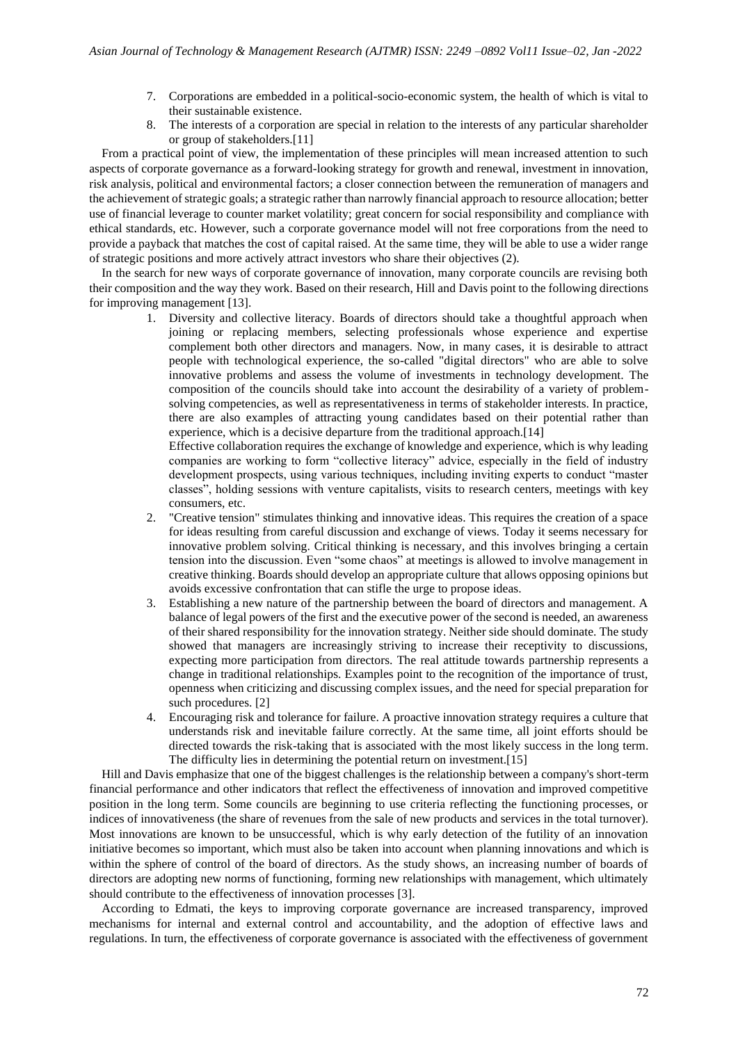- 7. Corporations are embedded in a political-socio-economic system, the health of which is vital to their sustainable existence.
- 8. The interests of a corporation are special in relation to the interests of any particular shareholder or group of stakeholders.[11]

From a practical point of view, the implementation of these principles will mean increased attention to such aspects of corporate governance as a forward-looking strategy for growth and renewal, investment in innovation, risk analysis, political and environmental factors; a closer connection between the remuneration of managers and the achievement of strategic goals; a strategic rather than narrowly financial approach to resource allocation; better use of financial leverage to counter market volatility; great concern for social responsibility and compliance with ethical standards, etc. However, such a corporate governance model will not free corporations from the need to provide a payback that matches the cost of capital raised. At the same time, they will be able to use a wider range of strategic positions and more actively attract investors who share their objectives (2).

In the search for new ways of corporate governance of innovation, many corporate councils are revising both their composition and the way they work. Based on their research, Hill and Davis point to the following directions for improving management [13].

> 1. Diversity and collective literacy. Boards of directors should take a thoughtful approach when joining or replacing members, selecting professionals whose experience and expertise complement both other directors and managers. Now, in many cases, it is desirable to attract people with technological experience, the so-called "digital directors" who are able to solve innovative problems and assess the volume of investments in technology development. The composition of the councils should take into account the desirability of a variety of problemsolving competencies, as well as representativeness in terms of stakeholder interests. In practice, there are also examples of attracting young candidates based on their potential rather than experience, which is a decisive departure from the traditional approach.[14]

Effective collaboration requires the exchange of knowledge and experience, which is why leading companies are working to form "collective literacy" advice, especially in the field of industry development prospects, using various techniques, including inviting experts to conduct "master classes", holding sessions with venture capitalists, visits to research centers, meetings with key consumers, etc.

- 2. "Creative tension" stimulates thinking and innovative ideas. This requires the creation of a space for ideas resulting from careful discussion and exchange of views. Today it seems necessary for innovative problem solving. Critical thinking is necessary, and this involves bringing a certain tension into the discussion. Even "some chaos" at meetings is allowed to involve management in creative thinking. Boards should develop an appropriate culture that allows opposing opinions but avoids excessive confrontation that can stifle the urge to propose ideas.
- 3. Establishing a new nature of the partnership between the board of directors and management. A balance of legal powers of the first and the executive power of the second is needed, an awareness of their shared responsibility for the innovation strategy. Neither side should dominate. The study showed that managers are increasingly striving to increase their receptivity to discussions, expecting more participation from directors. The real attitude towards partnership represents a change in traditional relationships. Examples point to the recognition of the importance of trust, openness when criticizing and discussing complex issues, and the need for special preparation for such procedures. [2]
- 4. Encouraging risk and tolerance for failure. A proactive innovation strategy requires a culture that understands risk and inevitable failure correctly. At the same time, all joint efforts should be directed towards the risk-taking that is associated with the most likely success in the long term. The difficulty lies in determining the potential return on investment.[15]

Hill and Davis emphasize that one of the biggest challenges is the relationship between a company's short-term financial performance and other indicators that reflect the effectiveness of innovation and improved competitive position in the long term. Some councils are beginning to use criteria reflecting the functioning processes, or indices of innovativeness (the share of revenues from the sale of new products and services in the total turnover). Most innovations are known to be unsuccessful, which is why early detection of the futility of an innovation initiative becomes so important, which must also be taken into account when planning innovations and which is within the sphere of control of the board of directors. As the study shows, an increasing number of boards of directors are adopting new norms of functioning, forming new relationships with management, which ultimately should contribute to the effectiveness of innovation processes [3].

According to Edmati, the keys to improving corporate governance are increased transparency, improved mechanisms for internal and external control and accountability, and the adoption of effective laws and regulations. In turn, the effectiveness of corporate governance is associated with the effectiveness of government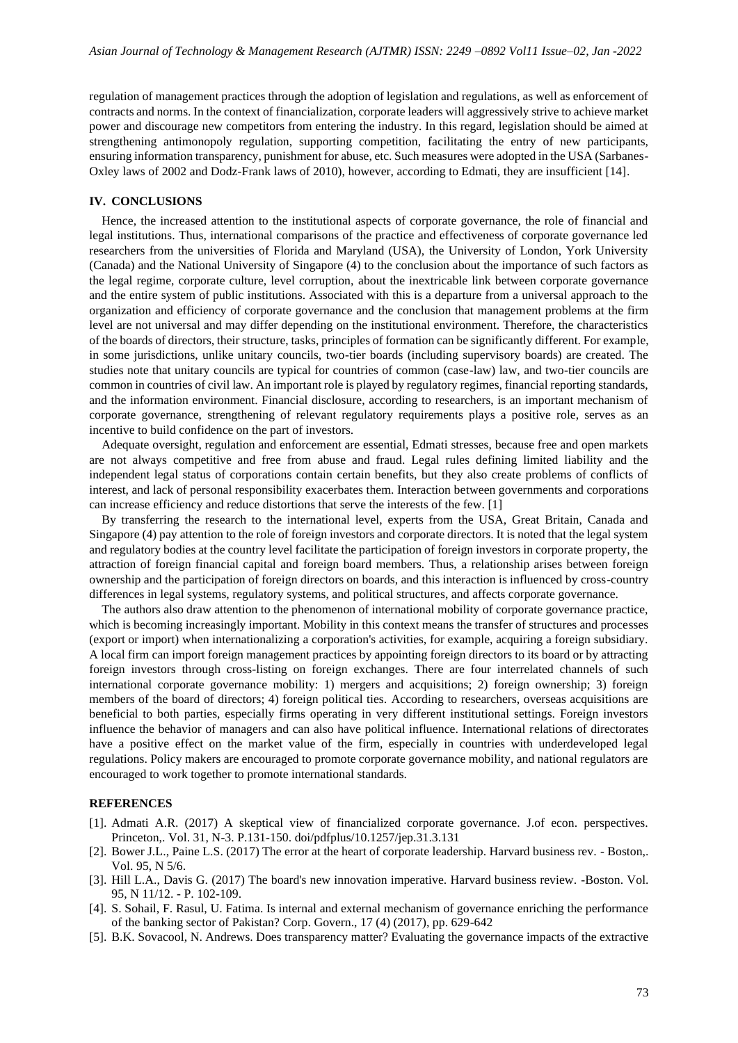regulation of management practices through the adoption of legislation and regulations, as well as enforcement of contracts and norms. In the context of financialization, corporate leaders will aggressively strive to achieve market power and discourage new competitors from entering the industry. In this regard, legislation should be aimed at strengthening antimonopoly regulation, supporting competition, facilitating the entry of new participants, ensuring information transparency, punishment for abuse, etc. Such measures were adopted in the USA (Sarbanes-Oxley laws of 2002 and Dodz-Frank laws of 2010), however, according to Edmati, they are insufficient [14].

#### **IV. CONCLUSIONS**

Hence, the increased attention to the institutional aspects of corporate governance, the role of financial and legal institutions. Thus, international comparisons of the practice and effectiveness of corporate governance led researchers from the universities of Florida and Maryland (USA), the University of London, York University (Canada) and the National University of Singapore (4) to the conclusion about the importance of such factors as the legal regime, corporate culture, level corruption, about the inextricable link between corporate governance and the entire system of public institutions. Associated with this is a departure from a universal approach to the organization and efficiency of corporate governance and the conclusion that management problems at the firm level are not universal and may differ depending on the institutional environment. Therefore, the characteristics of the boards of directors, their structure, tasks, principles of formation can be significantly different. For example, in some jurisdictions, unlike unitary councils, two-tier boards (including supervisory boards) are created. The studies note that unitary councils are typical for countries of common (case-law) law, and two-tier councils are common in countries of civil law. An important role is played by regulatory regimes, financial reporting standards, and the information environment. Financial disclosure, according to researchers, is an important mechanism of corporate governance, strengthening of relevant regulatory requirements plays a positive role, serves as an incentive to build confidence on the part of investors.

Adequate oversight, regulation and enforcement are essential, Edmati stresses, because free and open markets are not always competitive and free from abuse and fraud. Legal rules defining limited liability and the independent legal status of corporations contain certain benefits, but they also create problems of conflicts of interest, and lack of personal responsibility exacerbates them. Interaction between governments and corporations can increase efficiency and reduce distortions that serve the interests of the few. [1]

By transferring the research to the international level, experts from the USA, Great Britain, Canada and Singapore (4) pay attention to the role of foreign investors and corporate directors. It is noted that the legal system and regulatory bodies at the country level facilitate the participation of foreign investors in corporate property, the attraction of foreign financial capital and foreign board members. Thus, a relationship arises between foreign ownership and the participation of foreign directors on boards, and this interaction is influenced by cross-country differences in legal systems, regulatory systems, and political structures, and affects corporate governance.

The authors also draw attention to the phenomenon of international mobility of corporate governance practice, which is becoming increasingly important. Mobility in this context means the transfer of structures and processes (export or import) when internationalizing a corporation's activities, for example, acquiring a foreign subsidiary. A local firm can import foreign management practices by appointing foreign directors to its board or by attracting foreign investors through cross-listing on foreign exchanges. There are four interrelated channels of such international corporate governance mobility: 1) mergers and acquisitions; 2) foreign ownership; 3) foreign members of the board of directors; 4) foreign political ties. According to researchers, overseas acquisitions are beneficial to both parties, especially firms operating in very different institutional settings. Foreign investors influence the behavior of managers and can also have political influence. International relations of directorates have a positive effect on the market value of the firm, especially in countries with underdeveloped legal regulations. Policy makers are encouraged to promote corporate governance mobility, and national regulators are encouraged to work together to promote international standards.

#### **REFERENCES**

- [1]. Admati A.R. (2017) A skeptical view of financialized corporate governance. J.of econ. perspectives. Princeton,. Vol. 31, N-3. P.131-150. doi/pdfplus/10.1257/jep.31.3.131
- [2]. Bower J.L., Paine L.S. (2017) The error at the heart of corporate leadership. Harvard business rev. Boston,. Vol. 95, N 5/6.
- [3]. Hill L.A., Davis G. (2017) The board's new innovation imperative. Harvard business review. -Boston. Vol. 95, N 11/12. - P. 102-109.
- [4]. S. Sohail, F. Rasul, U. Fatima. Is internal and external mechanism of governance enriching the performance of the banking sector of Pakistan? Corp. Govern., 17 (4) (2017), pp. 629-642
- [5]. B.K. Sovacool, N. Andrews. Does transparency matter? Evaluating the governance impacts of the extractive